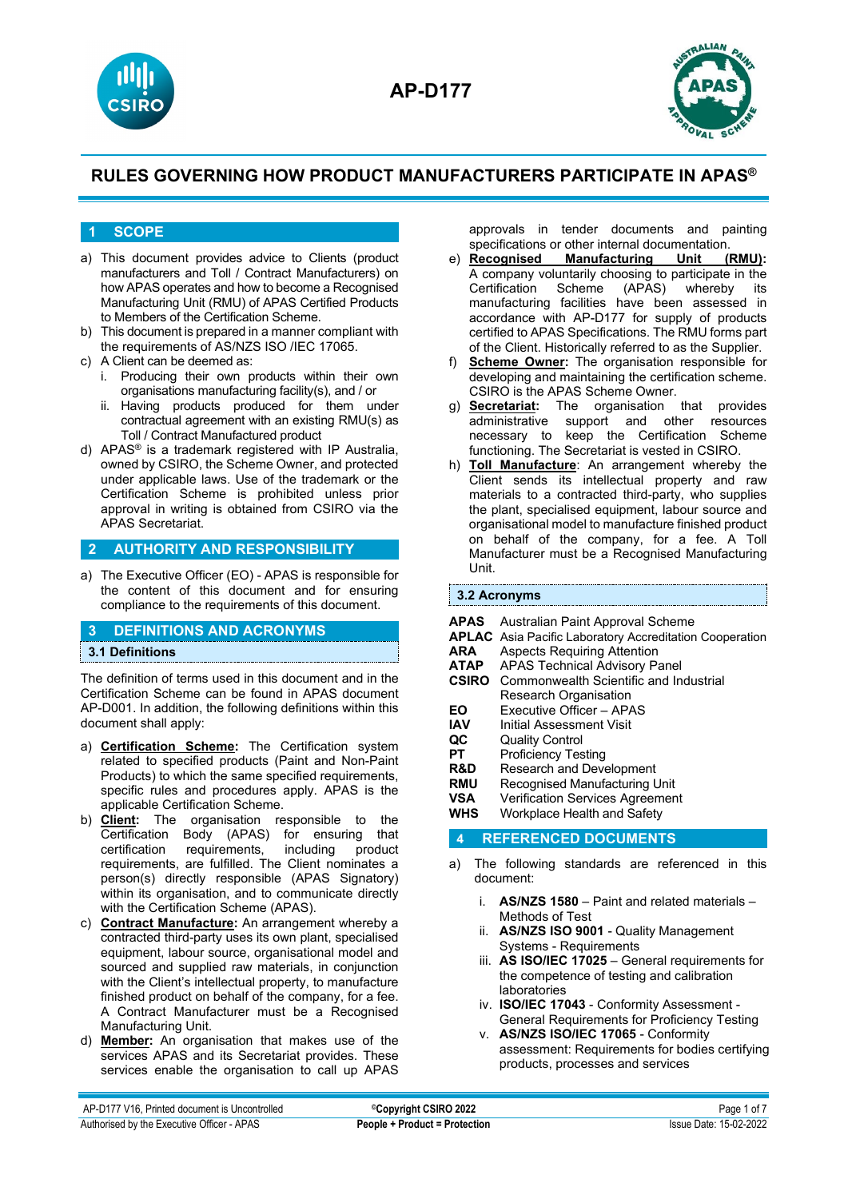



### **1 SCOPE**

- a) This document provides advice to Clients (product manufacturers and Toll / Contract Manufacturers) on how APAS operates and how to become a Recognised Manufacturing Unit (RMU) of APAS Certified Products to Members of the Certification Scheme.
- b) This document is prepared in a manner compliant with the requirements of AS/NZS ISO /IEC 17065.
- c) A Client can be deemed as:
	- i. Producing their own products within their own organisations manufacturing facility(s), and / or
	- ii. Having products produced for them under contractual agreement with an existing RMU(s) as Toll / Contract Manufactured product
- d) APAS® is a trademark registered with IP Australia, owned by CSIRO, the Scheme Owner, and protected under applicable laws. Use of the trademark or the Certification Scheme is prohibited unless prior approval in writing is obtained from CSIRO via the APAS Secretariat.

### **2 AUTHORITY AND RESPONSIBILITY**

a) The Executive Officer (EO) - APAS is responsible for the content of this document and for ensuring compliance to the requirements of this document.

### **3 DEFINITIONS AND ACRONYMS**

### **3.1 Definitions**

The definition of terms used in this document and in the Certification Scheme can be found in APAS document AP-D001. In addition, the following definitions within this document shall apply:

- a) **Certification Scheme:** The Certification system related to specified products (Paint and Non-Paint Products) to which the same specified requirements, specific rules and procedures apply. APAS is the applicable Certification Scheme.
- b) **Client:** The organisation responsible to the Certification Body (APAS) for ensuring that<br>certification requirements, including product requirements, including product requirements, are fulfilled. The Client nominates a person(s) directly responsible (APAS Signatory) within its organisation, and to communicate directly with the Certification Scheme (APAS).
- c) **Contract Manufacture:** An arrangement whereby a contracted third-party uses its own plant, specialised equipment, labour source, organisational model and sourced and supplied raw materials, in conjunction with the Client's intellectual property, to manufacture finished product on behalf of the company, for a fee. A Contract Manufacturer must be a Recognised Manufacturing Unit.
- d) **Member:** An organisation that makes use of the services APAS and its Secretariat provides. These services enable the organisation to call up APAS

approvals in tender documents and painting specifications or other internal documentation.<br> **e)** Recognised Manufacturing Unit (RMU):

- **Manufacturing** A company voluntarily choosing to participate in the Certification Scheme (APAS) whereby manufacturing facilities have been assessed in accordance with AP-D177 for supply of products certified to APAS Specifications. The RMU forms part of the Client. Historically referred to as the Supplier.
- f) **Scheme Owner:** The organisation responsible for developing and maintaining the certification scheme. CSIRO is the APAS Scheme Owner.
- g) **Secretariat:** The organisation that provides administrative support and necessary to keep the Certification Scheme functioning. The Secretariat is vested in CSIRO.
- h) **Toll Manufacture**: An arrangement whereby the Client sends its intellectual property and raw materials to a contracted third-party, who supplies the plant, specialised equipment, labour source and organisational model to manufacture finished product on behalf of the company, for a fee. A Toll Manufacturer must be a Recognised Manufacturing Unit.

#### **3.2 Acronyms**

- **APAS** Australian Paint Approval Scheme
- **APLAC** Asia Pacific Laboratory Accreditation Cooperation<br>**ARA** Aspects Requiring Attention
- **ARA** Aspects Requiring Attention<br>**ATAP** APAS Technical Advisory Pa
- **ATAP** APAS Technical Advisory Panel
- **CSIRO** Commonwealth Scientific and Industrial Research Organisation
- **EO** Executive Officer APAS<br>**IAV** Initial Assessment Visit
- **IAV** Initial Assessment Visit<br>**QC** Quality Control
- 
- **QC** Quality Control<br>**PT** Proficiency Tes **PT** Proficiency Testing<br> **R&D** Research and Deve
- **R&D** Research and Development<br>**RMU** Recognised Manufacturing L
- **RMU** Recognised Manufacturing Unit<br> **VSA** Verification Services Agreemen
- **VSA** Verification Services Agreement<br> **WHS** Workplace Health and Safety
- **Workplace Health and Safety**

### **4 REFERENCED DOCUMENTS**

- a) The following standards are referenced in this document:
	- i. **AS/NZS 1580** Paint and related materials Methods of Test
	- ii. **AS/NZS ISO 9001** Quality Management Systems - Requirements
	- iii. **AS ISO/IEC 17025** General requirements for the competence of testing and calibration laboratories
	- iv. **ISO/IEC 17043** Conformity Assessment General Requirements for Proficiency Testing
	- v. **AS/NZS ISO/IEC 17065** Conformity assessment: Requirements for bodies certifying products, processes and services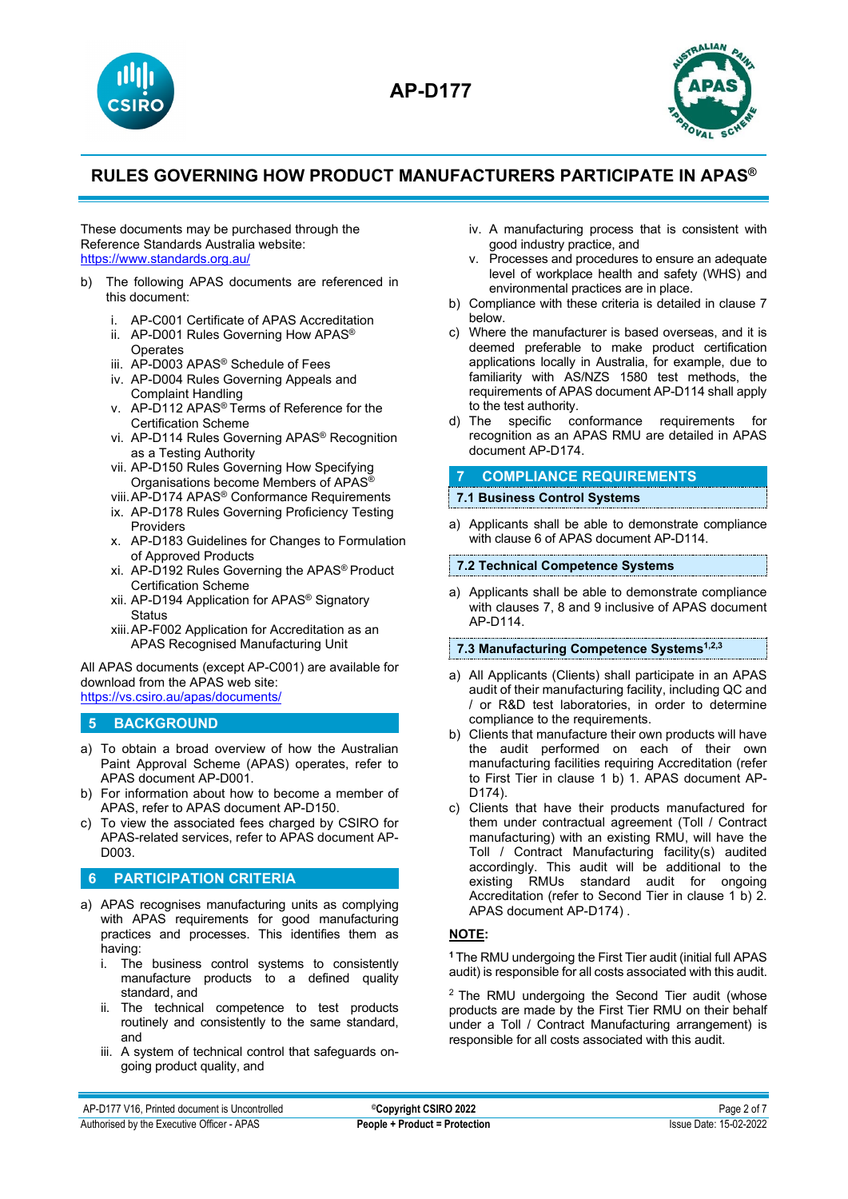



These documents may be purchased through the Reference Standards Australia website: <https://www.standards.org.au/>

- b) The following APAS documents are referenced in this document:
	- i. AP-C001 Certificate of APAS Accreditation
	- ii. AP-D001 Rules Governing How APAS® **Operates**
	- iii. AP-D003 APAS® Schedule of Fees
	- iv. AP-D004 Rules Governing Appeals and Complaint Handling
	- v. AP-D112 APAS® Terms of Reference for the Certification Scheme
	- vi. AP-D114 Rules Governing APAS® Recognition as a Testing Authority
	- vii. AP-D150 Rules Governing How Specifying Organisations become Members of APAS®
	- viii.AP-D174 APAS® Conformance Requirements
	- ix. AP-D178 Rules Governing Proficiency Testing Providers
	- x. AP-D183 Guidelines for Changes to Formulation of Approved Products
	- xi. AP-D192 Rules Governing the APAS® Product Certification Scheme
	- xii. AP-D194 Application for APAS® Signatory **Status**
	- xiii.AP-F002 Application for Accreditation as an APAS Recognised Manufacturing Unit

All APAS documents (except AP-C001) are available for download from the APAS web site: <https://vs.csiro.au/apas/documents/>

### **5 BACKGROUND**

- a) To obtain a broad overview of how the Australian Paint Approval Scheme (APAS) operates, refer to APAS document AP-D001.
- b) For information about how to become a member of APAS, refer to APAS document AP-D150.
- c) To view the associated fees charged by CSIRO for APAS-related services, refer to APAS document AP-D003.

### **6 PARTICIPATION CRITERIA**

- a) APAS recognises manufacturing units as complying with APAS requirements for good manufacturing practices and processes. This identifies them as having:
	- i. The business control systems to consistently manufacture products to a defined quality standard, and
	- ii. The technical competence to test products routinely and consistently to the same standard, and
	- iii. A system of technical control that safeguards ongoing product quality, and
- iv. A manufacturing process that is consistent with good industry practice, and
- v. Processes and procedures to ensure an adequate level of workplace health and safety (WHS) and environmental practices are in place.
- b) Compliance with these criteria is detailed in clause 7 below.
- c) Where the manufacturer is based overseas, and it is deemed preferable to make product certification applications locally in Australia, for example, due to familiarity with AS/NZS 1580 test methods, the requirements of APAS document AP-D114 shall apply to the test authority.
- d) The specific conformance requirements for recognition as an APAS RMU are detailed in APAS document AP-D174.

## **7 COMPLIANCE REQUIREMENTS**

### **7.1 Business Control Systems**

a) Applicants shall be able to demonstrate compliance with clause 6 of APAS document AP-D114.

### **7.2 Technical Competence Systems**

a) Applicants shall be able to demonstrate compliance with clauses 7, 8 and 9 inclusive of APAS document AP-D114.

### **7.3 Manufacturing Competence Systems1,2,3**

- a) All Applicants (Clients) shall participate in an APAS audit of their manufacturing facility, including QC and / or R&D test laboratories, in order to determine compliance to the requirements.
- b) Clients that manufacture their own products will have the audit performed on each of their own manufacturing facilities requiring Accreditation (refer to First Tier in clause 1 b) 1. APAS document AP-D174).
- c) Clients that have their products manufactured for them under contractual agreement (Toll / Contract manufacturing) with an existing RMU, will have the Toll / Contract Manufacturing facility(s) audited accordingly. This audit will be additional to the existing RMUs standard audit for ongoing Accreditation (refer to Second Tier in clause 1 b) 2. APAS document AP-D174) .

### **NOTE:**

**<sup>1</sup>**The RMU undergoing the First Tier audit (initial full APAS audit) is responsible for all costs associated with this audit.

<sup>2</sup> The RMU undergoing the Second Tier audit (whose products are made by the First Tier RMU on their behalf under a Toll / Contract Manufacturing arrangement) is responsible for all costs associated with this audit.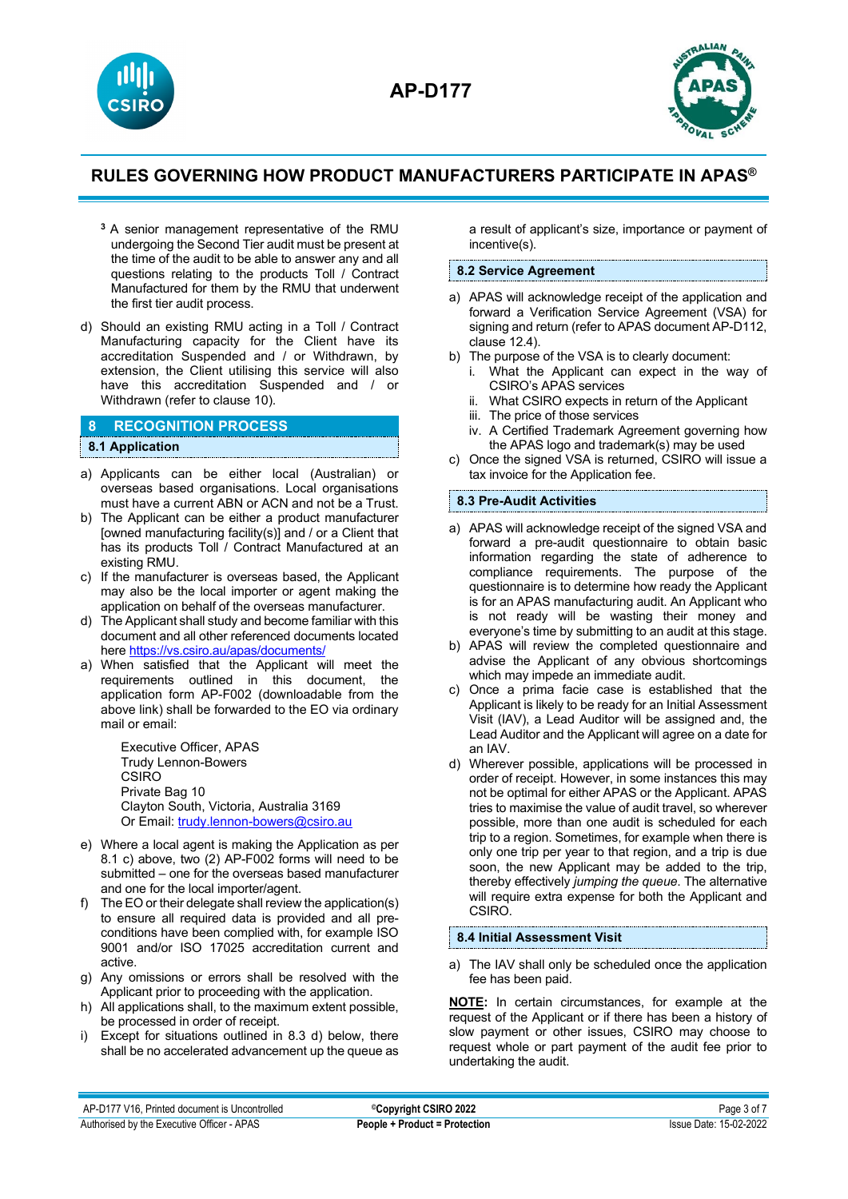



- **<sup>3</sup>**A senior management representative of the RMU undergoing the Second Tier audit must be present at the time of the audit to be able to answer any and all questions relating to the products Toll / Contract Manufactured for them by the RMU that underwent the first tier audit process.
- d) Should an existing RMU acting in a Toll / Contract Manufacturing capacity for the Client have its accreditation Suspended and / or Withdrawn, by extension, the Client utilising this service will also have this accreditation Suspended and / or Withdrawn (refer to clause 10).

### **8 RECOGNITION PROCESS**

#### **8.1 Application**

- a) Applicants can be either local (Australian) or overseas based organisations. Local organisations must have a current ABN or ACN and not be a Trust.
- b) The Applicant can be either a product manufacturer [owned manufacturing facility(s)] and / or a Client that has its products Toll / Contract Manufactured at an existing RMU.
- c) If the manufacturer is overseas based, the Applicant may also be the local importer or agent making the application on behalf of the overseas manufacturer.
- d) The Applicant shall study and become familiar with this document and all other referenced documents located here<https://vs.csiro.au/apas/documents/>
- a) When satisfied that the Applicant will meet the requirements outlined in this document, the application form AP-F002 (downloadable from the above link) shall be forwarded to the EO via ordinary mail or email:

Executive Officer, APAS Trudy Lennon-Bowers CSIRO Private Bag 10 Clayton South, Victoria, Australia 3169 Or Email: [trudy.lennon-bowers@csiro.au](mailto:trudy.lennon-bowers@csiro.au)

- e) Where a local agent is making the Application as per 8.1 c) above, two (2) AP-F002 forms will need to be submitted – one for the overseas based manufacturer and one for the local importer/agent.
- f) The EO or their delegate shall review the application(s) to ensure all required data is provided and all preconditions have been complied with, for example ISO 9001 and/or ISO 17025 accreditation current and active.
- g) Any omissions or errors shall be resolved with the Applicant prior to proceeding with the application.
- h) All applications shall, to the maximum extent possible, be processed in order of receipt.
- i) Except for situations outlined in 8.3 d) below, there shall be no accelerated advancement up the queue as

a result of applicant's size, importance or payment of incentive(s).

### **8.2 Service Agreement**

- a) APAS will acknowledge receipt of the application and forward a Verification Service Agreement (VSA) for signing and return (refer to APAS document AP-D112, clause 12.4).
- b) The purpose of the VSA is to clearly document:
	- i. What the Applicant can expect in the way of CSIRO's APAS services
	- ii. What CSIRO expects in return of the Applicant
	- iii. The price of those services
	- iv. A Certified Trademark Agreement governing how the APAS logo and trademark(s) may be used
- c) Once the signed VSA is returned, CSIRO will issue a tax invoice for the Application fee.

### **8.3 Pre-Audit Activities**

- a) APAS will acknowledge receipt of the signed VSA and forward a pre-audit questionnaire to obtain basic information regarding the state of adherence to compliance requirements. The purpose of the questionnaire is to determine how ready the Applicant is for an APAS manufacturing audit. An Applicant who is not ready will be wasting their money and everyone's time by submitting to an audit at this stage.
- b) APAS will review the completed questionnaire and advise the Applicant of any obvious shortcomings which may impede an immediate audit.
- c) Once a prima facie case is established that the Applicant is likely to be ready for an Initial Assessment Visit (IAV), a Lead Auditor will be assigned and, the Lead Auditor and the Applicant will agree on a date for an IAV.
- d) Wherever possible, applications will be processed in order of receipt. However, in some instances this may not be optimal for either APAS or the Applicant. APAS tries to maximise the value of audit travel, so wherever possible, more than one audit is scheduled for each trip to a region. Sometimes, for example when there is only one trip per year to that region, and a trip is due soon, the new Applicant may be added to the trip, thereby effectively *jumping the queue*. The alternative will require extra expense for both the Applicant and CSIRO.

### **8.4 Initial Assessment Visit**

a) The IAV shall only be scheduled once the application fee has been paid.

**NOTE:** In certain circumstances, for example at the request of the Applicant or if there has been a history of slow payment or other issues, CSIRO may choose to request whole or part payment of the audit fee prior to undertaking the audit.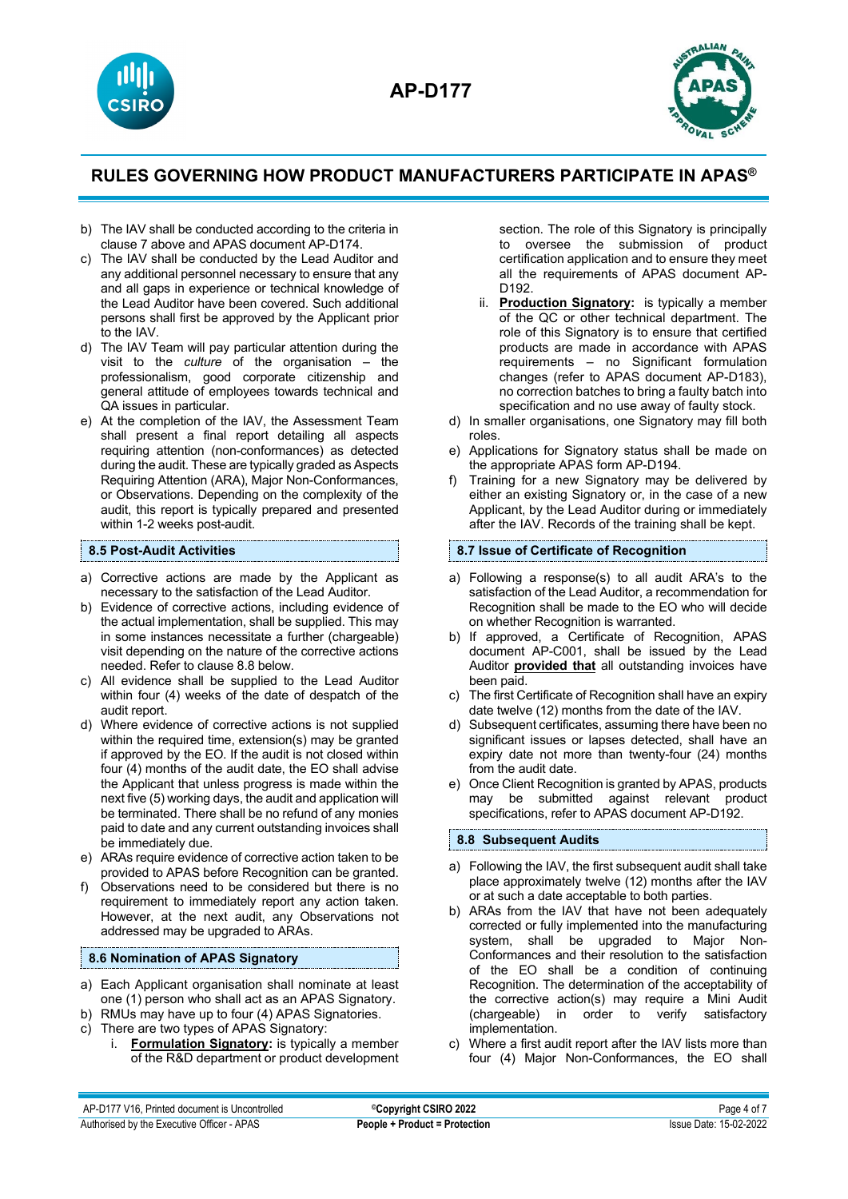



- b) The IAV shall be conducted according to the criteria in clause 7 above and APAS document AP-D174.
- c) The IAV shall be conducted by the Lead Auditor and any additional personnel necessary to ensure that any and all gaps in experience or technical knowledge of the Lead Auditor have been covered. Such additional persons shall first be approved by the Applicant prior to the IAV.
- d) The IAV Team will pay particular attention during the visit to the *culture* of the organisation – the professionalism, good corporate citizenship and general attitude of employees towards technical and QA issues in particular.
- e) At the completion of the IAV, the Assessment Team shall present a final report detailing all aspects requiring attention (non-conformances) as detected during the audit. These are typically graded as Aspects Requiring Attention (ARA), Major Non-Conformances, or Observations. Depending on the complexity of the audit, this report is typically prepared and presented within 1-2 weeks post-audit.

#### **8.5 Post-Audit Activities**

- a) Corrective actions are made by the Applicant as necessary to the satisfaction of the Lead Auditor.
- b) Evidence of corrective actions, including evidence of the actual implementation, shall be supplied. This may in some instances necessitate a further (chargeable) visit depending on the nature of the corrective actions needed. Refer to clause 8.8 below.
- c) All evidence shall be supplied to the Lead Auditor within four (4) weeks of the date of despatch of the audit report.
- d) Where evidence of corrective actions is not supplied within the required time, extension(s) may be granted if approved by the EO. If the audit is not closed within four (4) months of the audit date, the EO shall advise the Applicant that unless progress is made within the next five (5) working days, the audit and application will be terminated. There shall be no refund of any monies paid to date and any current outstanding invoices shall be immediately due.
- e) ARAs require evidence of corrective action taken to be provided to APAS before Recognition can be granted.
- Observations need to be considered but there is no requirement to immediately report any action taken. However, at the next audit, any Observations not addressed may be upgraded to ARAs.

### **8.6 Nomination of APAS Signatory**

- a) Each Applicant organisation shall nominate at least one (1) person who shall act as an APAS Signatory.
- b) RMUs may have up to four (4) APAS Signatories.
- c) There are two types of APAS Signatory:
	- i. **Formulation Signatory:** is typically a member of the R&D department or product development

section. The role of this Signatory is principally to oversee the submission of product certification application and to ensure they meet all the requirements of APAS document AP-D192.

- ii. **Production Signatory:** is typically a member of the QC or other technical department. The role of this Signatory is to ensure that certified products are made in accordance with APAS requirements – no Significant formulation changes (refer to APAS document AP-D183), no correction batches to bring a faulty batch into specification and no use away of faulty stock.
- d) In smaller organisations, one Signatory may fill both roles.
- e) Applications for Signatory status shall be made on the appropriate APAS form AP-D194.
- f) Training for a new Signatory may be delivered by either an existing Signatory or, in the case of a new Applicant, by the Lead Auditor during or immediately after the IAV. Records of the training shall be kept.

#### **8.7 Issue of Certificate of Recognition**

- a) Following a response(s) to all audit ARA's to the satisfaction of the Lead Auditor, a recommendation for Recognition shall be made to the EO who will decide on whether Recognition is warranted.
- b) If approved, a Certificate of Recognition, APAS document AP-C001, shall be issued by the Lead Auditor **provided that** all outstanding invoices have been paid.
- c) The first Certificate of Recognition shall have an expiry date twelve (12) months from the date of the IAV.
- d) Subsequent certificates, assuming there have been no significant issues or lapses detected, shall have an expiry date not more than twenty-four (24) months from the audit date.
- e) Once Client Recognition is granted by APAS, products may be submitted against relevant product specifications, refer to APAS document AP-D192.

### **8.8 Subsequent Audits**

- a) Following the IAV, the first subsequent audit shall take place approximately twelve (12) months after the IAV or at such a date acceptable to both parties.
- b) ARAs from the IAV that have not been adequately corrected or fully implemented into the manufacturing system, shall be upgraded to Major Non-Conformances and their resolution to the satisfaction of the EO shall be a condition of continuing Recognition. The determination of the acceptability of the corrective action(s) may require a Mini Audit (chargeable) in order to verify satisfactory implementation.
- c) Where a first audit report after the IAV lists more than four (4) Major Non-Conformances, the EO shall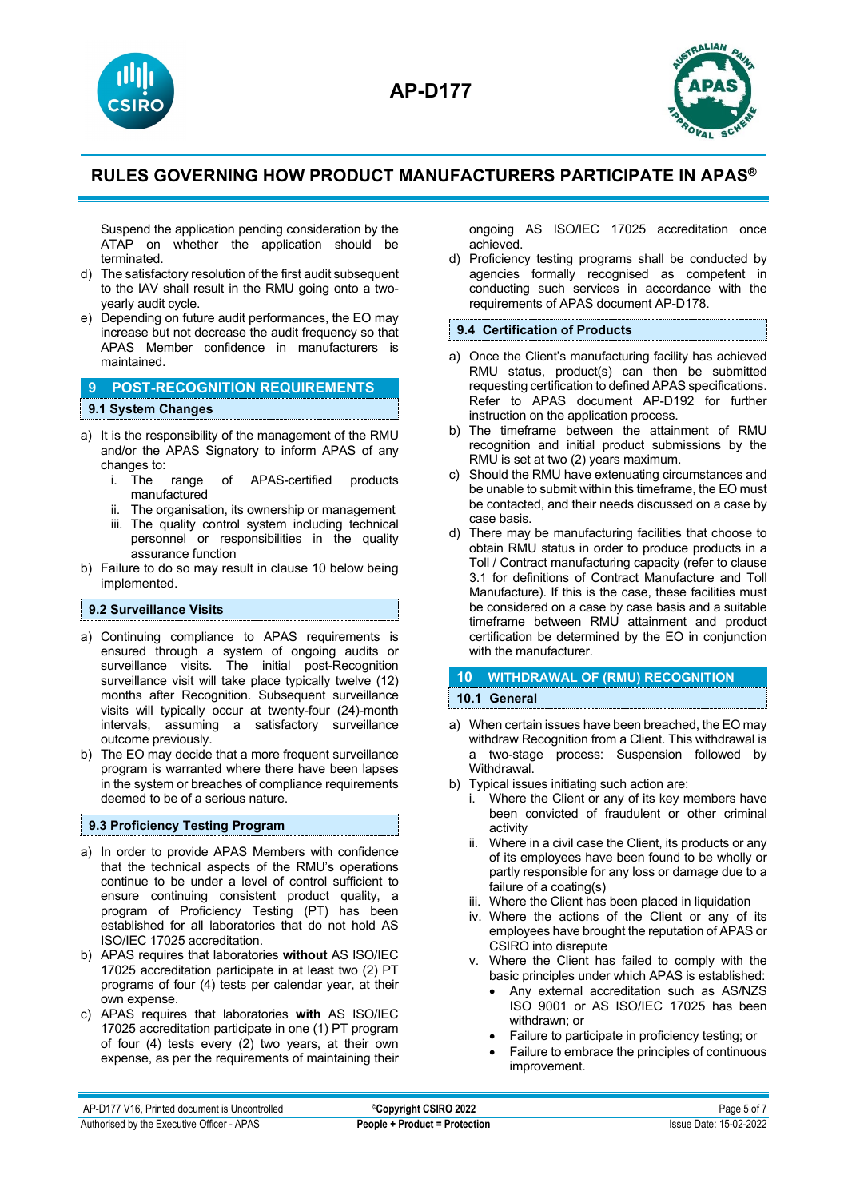



Suspend the application pending consideration by the ATAP on whether the application should be terminated.

- d) The satisfactory resolution of the first audit subsequent to the IAV shall result in the RMU going onto a twoyearly audit cycle.
- e) Depending on future audit performances, the EO may increase but not decrease the audit frequency so that APAS Member confidence in manufacturers is maintained.

## **9 POST-RECOGNITION REQUIREMENTS 9.1 System Changes**

- a) It is the responsibility of the management of the RMU and/or the APAS Signatory to inform APAS of any changes to:<br>i. The
	- i. The range of APAS-certified products manufactured
	- ii. The organisation, its ownership or management
	- iii. The quality control system including technical personnel or responsibilities in the quality assurance function
- b) Failure to do so may result in clause 10 below being implemented.

### **9.2 Surveillance Visits**

- a) Continuing compliance to APAS requirements is ensured through a system of ongoing audits or surveillance visits. The initial post-Recognition surveillance visit will take place typically twelve (12) months after Recognition. Subsequent surveillance visits will typically occur at twenty-four (24)-month intervals, assuming a satisfactory surveillance outcome previously.
- b) The EO may decide that a more frequent surveillance program is warranted where there have been lapses in the system or breaches of compliance requirements deemed to be of a serious nature.

### **9.3 Proficiency Testing Program**

- a) In order to provide APAS Members with confidence that the technical aspects of the RMU's operations continue to be under a level of control sufficient to ensure continuing consistent product quality, a program of Proficiency Testing (PT) has been established for all laboratories that do not hold AS ISO/IEC 17025 accreditation.
- b) APAS requires that laboratories **without** AS ISO/IEC 17025 accreditation participate in at least two (2) PT programs of four (4) tests per calendar year, at their own expense.
- c) APAS requires that laboratories **with** AS ISO/IEC 17025 accreditation participate in one (1) PT program of four (4) tests every (2) two years, at their own expense, as per the requirements of maintaining their

ongoing AS ISO/IEC 17025 accreditation once achieved.

d) Proficiency testing programs shall be conducted by agencies formally recognised as competent in conducting such services in accordance with the requirements of APAS document AP-D178.

### **9.4 Certification of Products**

- a) Once the Client's manufacturing facility has achieved RMU status, product(s) can then be submitted requesting certification to defined APAS specifications. Refer to APAS document AP-D192 for further instruction on the application process.
- b) The timeframe between the attainment of RMU recognition and initial product submissions by the RMU is set at two (2) years maximum.
- c) Should the RMU have extenuating circumstances and be unable to submit within this timeframe, the EO must be contacted, and their needs discussed on a case by case basis.
- d) There may be manufacturing facilities that choose to obtain RMU status in order to produce products in a Toll / Contract manufacturing capacity (refer to clause 3.1 for definitions of Contract Manufacture and Toll Manufacture). If this is the case, these facilities must be considered on a case by case basis and a suitable timeframe between RMU attainment and product certification be determined by the EO in conjunction with the manufacturer.

### **10 WITHDRAWAL OF (RMU) RECOGNITION 10.1 General**

- a) When certain issues have been breached, the EO may withdraw Recognition from a Client. This withdrawal is a two-stage process: Suspension followed by Withdrawal.
- b) Typical issues initiating such action are:
	- i. Where the Client or any of its key members have been convicted of fraudulent or other criminal activity
	- ii. Where in a civil case the Client, its products or any of its employees have been found to be wholly or partly responsible for any loss or damage due to a failure of a coating(s)
	- iii. Where the Client has been placed in liquidation
	- iv. Where the actions of the Client or any of its employees have brought the reputation of APAS or CSIRO into disrepute
	- v. Where the Client has failed to comply with the basic principles under which APAS is established:
		- Any external accreditation such as AS/NZS ISO 9001 or AS ISO/IEC 17025 has been withdrawn; or
		- Failure to participate in proficiency testing; or
		- Failure to embrace the principles of continuous improvement.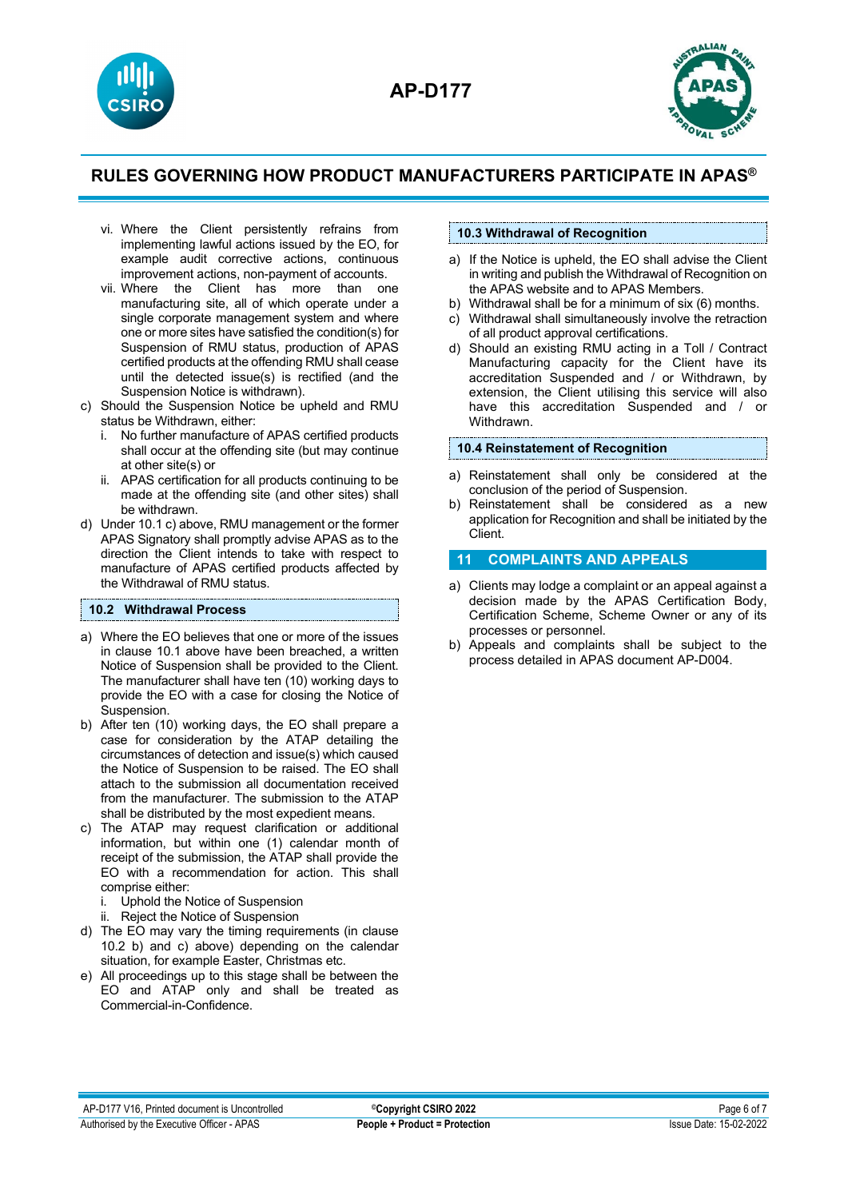



- vi. Where the Client persistently refrains from implementing lawful actions issued by the EO, for example audit corrective actions, continuous improvement actions, non-payment of accounts.
- vii. Where the Client has more than one manufacturing site, all of which operate under a single corporate management system and where one or more sites have satisfied the condition(s) for Suspension of RMU status, production of APAS certified products at the offending RMU shall cease until the detected issue(s) is rectified (and the Suspension Notice is withdrawn).
- c) Should the Suspension Notice be upheld and RMU status be Withdrawn, either:
	- No further manufacture of APAS certified products shall occur at the offending site (but may continue at other site(s) or
	- ii. APAS certification for all products continuing to be made at the offending site (and other sites) shall be withdrawn.
- d) Under 10.1 c) above, RMU management or the former APAS Signatory shall promptly advise APAS as to the direction the Client intends to take with respect to manufacture of APAS certified products affected by the Withdrawal of RMU status.

### **10.2 Withdrawal Process**

- a) Where the EO believes that one or more of the issues in clause 10.1 above have been breached, a written Notice of Suspension shall be provided to the Client. The manufacturer shall have ten (10) working days to provide the EO with a case for closing the Notice of Suspension.
- b) After ten (10) working days, the EO shall prepare a case for consideration by the ATAP detailing the circumstances of detection and issue(s) which caused the Notice of Suspension to be raised. The EO shall attach to the submission all documentation received from the manufacturer. The submission to the ATAP shall be distributed by the most expedient means.
- c) The ATAP may request clarification or additional information, but within one (1) calendar month of receipt of the submission, the ATAP shall provide the EO with a recommendation for action. This shall comprise either:
	- i. Uphold the Notice of Suspension
	- ii. Reject the Notice of Suspension
- d) The EO may vary the timing requirements (in clause 10.2 b) and c) above) depending on the calendar situation, for example Easter, Christmas etc.
- e) All proceedings up to this stage shall be between the EO and ATAP only and shall be treated as Commercial-in-Confidence.

## **10.3 Withdrawal of Recognition**

- a) If the Notice is upheld, the EO shall advise the Client in writing and publish the Withdrawal of Recognition on the APAS website and to APAS Members.
- b) Withdrawal shall be for a minimum of six (6) months.
- c) Withdrawal shall simultaneously involve the retraction of all product approval certifications.
- d) Should an existing RMU acting in a Toll / Contract Manufacturing capacity for the Client have its accreditation Suspended and / or Withdrawn, by extension, the Client utilising this service will also have this accreditation Suspended and / or **Withdrawn**

#### **10.4 Reinstatement of Recognition**

- a) Reinstatement shall only be considered at the conclusion of the period of Suspension.
- b) Reinstatement shall be considered as a new application for Recognition and shall be initiated by the Client.

### **11 COMPLAINTS AND APPEALS**

- a) Clients may lodge a complaint or an appeal against a decision made by the APAS Certification Body, Certification Scheme, Scheme Owner or any of its processes or personnel.
- b) Appeals and complaints shall be subject to the process detailed in APAS document AP-D004.